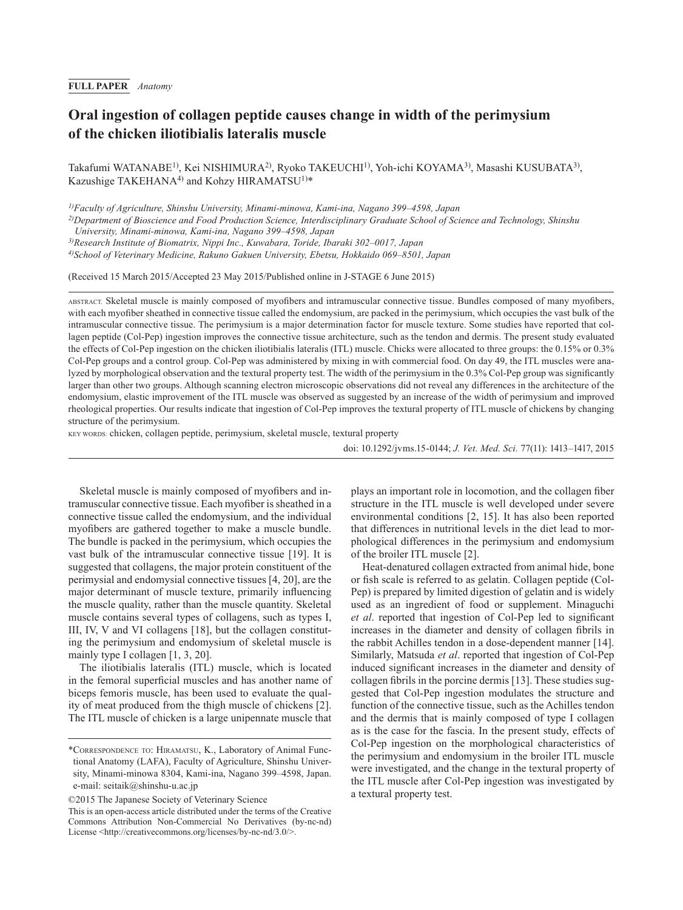## **FULL PAPER** *Anatomy*

# **Oral ingestion of collagen peptide causes change in width of the perimysium of the chicken iliotibialis lateralis muscle**

Takafumi WATANABE1), Kei NISHIMURA2), Ryoko TAKEUCHI1), Yoh-ichi KOYAMA3), Masashi KUSUBATA3), Kazushige TAKEHANA<sup>4)</sup> and Kohzy HIRAMATSU<sup>1)\*</sup>

*1)Faculty of Agriculture, Shinshu University, Minami-minowa, Kami-ina, Nagano 399–4598, Japan*

*2)Department of Bioscience and Food Production Science, Interdisciplinary Graduate School of Science and Technology, Shinshu University, Minami-minowa, Kami-ina, Nagano 399–4598, Japan*

*3)Research Institute of Biomatrix, Nippi Inc., Kuwabara, Toride, Ibaraki 302–0017, Japan*

*4)School of Veterinary Medicine, Rakuno Gakuen University, Ebetsu, Hokkaido 069–8501, Japan*

(Received 15 March 2015/Accepted 23 May 2015/Published online in J-STAGE 6 June 2015)

ABSTRACT. Skeletal muscle is mainly composed of myofibers and intramuscular connective tissue. Bundles composed of many myofibers, with each myofiber sheathed in connective tissue called the endomysium, are packed in the perimysium, which occupies the vast bulk of the intramuscular connective tissue. The perimysium is a major determination factor for muscle texture. Some studies have reported that collagen peptide (Col-Pep) ingestion improves the connective tissue architecture, such as the tendon and dermis. The present study evaluated the effects of Col-Pep ingestion on the chicken iliotibialis lateralis (ITL) muscle. Chicks were allocated to three groups: the 0.15% or 0.3% Col-Pep groups and a control group. Col-Pep was administered by mixing in with commercial food. On day 49, the ITL muscles were analyzed by morphological observation and the textural property test. The width of the perimysium in the 0.3% Col-Pep group was significantly larger than other two groups. Although scanning electron microscopic observations did not reveal any differences in the architecture of the endomysium, elastic improvement of the ITL muscle was observed as suggested by an increase of the width of perimysium and improved rheological properties. Our results indicate that ingestion of Col-Pep improves the textural property of ITL muscle of chickens by changing structure of the perimysium.

KEY WORDS: chicken, collagen peptide, perimysium, skeletal muscle, textural property

doi: 10.1292/jvms.15-0144; *J. Vet. Med. Sci.* 77(11): 1413–1417, 2015

Skeletal muscle is mainly composed of myofibers and intramuscular connective tissue. Each myofiber is sheathed in a connective tissue called the endomysium, and the individual myofibers are gathered together to make a muscle bundle. The bundle is packed in the perimysium, which occupies the vast bulk of the intramuscular connective tissue [[19](#page-4-0)]. It is suggested that collagens, the major protein constituent of the perimysial and endomysial connective tissues [[4, 20](#page-4-1)], are the major determinant of muscle texture, primarily influencing the muscle quality, rather than the muscle quantity. Skeletal muscle contains several types of collagens, such as types I, III, IV, V and VI collagens [[18](#page-4-2)], but the collagen constituting the perimysium and endomysium of skeletal muscle is mainly type I collagen [[1, 3, 20](#page-4-3)].

The iliotibialis lateralis (ITL) muscle, which is located in the femoral superficial muscles and has another name of biceps femoris muscle, has been used to evaluate the quality of meat produced from the thigh muscle of chickens [[2\]](#page-4-4). The ITL muscle of chicken is a large unipennate muscle that plays an important role in locomotion, and the collagen fiber structure in the ITL muscle is well developed under severe environmental conditions [[2, 15](#page-4-4)]. It has also been reported that differences in nutritional levels in the diet lead to morphological differences in the perimysium and endomysium of the broiler ITL muscle [[2\]](#page-4-4).

Heat-denatured collagen extracted from animal hide, bone or fish scale is referred to as gelatin. Collagen peptide (Col-Pep) is prepared by limited digestion of gelatin and is widely used as an ingredient of food or supplement. Minaguchi *et al*. reported that ingestion of Col-Pep led to significant increases in the diameter and density of collagen fibrils in the rabbit Achilles tendon in a dose-dependent manner [[14](#page-4-5)]. Similarly, Matsuda *et al*. reported that ingestion of Col-Pep induced significant increases in the diameter and density of collagen fibrils in the porcine dermis [\[13\]](#page-4-6). These studies suggested that Col-Pep ingestion modulates the structure and function of the connective tissue, such as the Achilles tendon and the dermis that is mainly composed of type I collagen as is the case for the fascia. In the present study, effects of Col-Pep ingestion on the morphological characteristics of the perimysium and endomysium in the broiler ITL muscle were investigated, and the change in the textural property of the ITL muscle after Col-Pep ingestion was investigated by a textural property test.

<sup>\*</sup>Correspondence to: Hiramatsu, K., Laboratory of Animal Functional Anatomy (LAFA), Faculty of Agriculture, Shinshu University, Minami-minowa 8304, Kami-ina, Nagano 399–4598, Japan. e-mail: seitaik@shinshu-u.ac.jp

<sup>©2015</sup> The Japanese Society of Veterinary Science

This is an open-access article distributed under the terms of the Creative Commons Attribution Non-Commercial No Derivatives (by-nc-nd) License <<http://creativecommons.org/licenses/by-nc-nd/3.0/>>.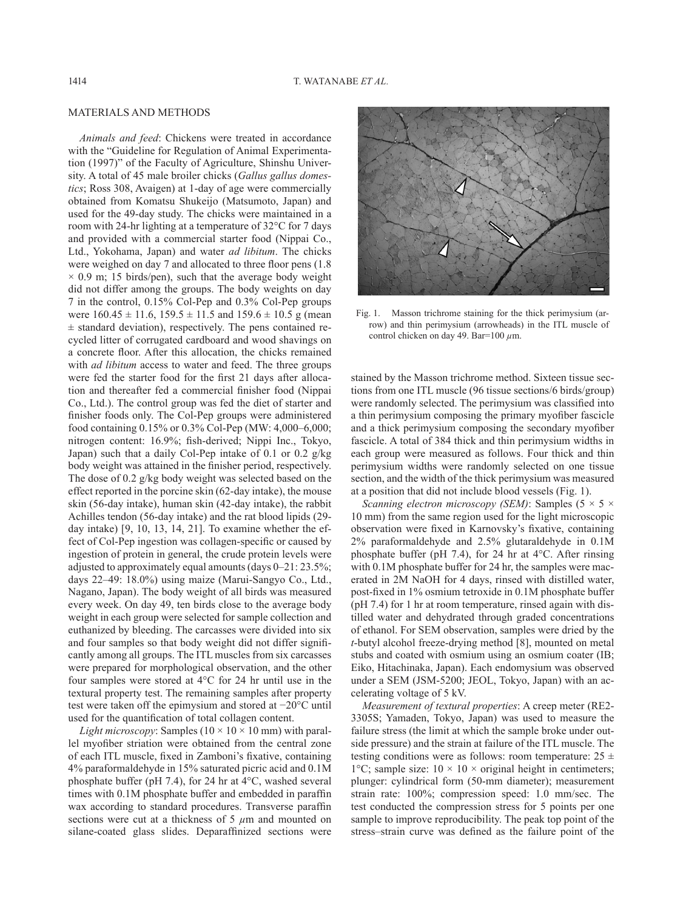## MATERIALS AND METHODS

*Animals and feed*: Chickens were treated in accordance with the "Guideline for Regulation of Animal Experimentation (1997)" of the Faculty of Agriculture, Shinshu University. A total of 45 male broiler chicks (*Gallus gallus domestics*; Ross 308, Avaigen) at 1-day of age were commercially obtained from Komatsu Shukeijo (Matsumoto, Japan) and used for the 49-day study. The chicks were maintained in a room with 24-hr lighting at a temperature of 32°C for 7 days and provided with a commercial starter food (Nippai Co., Ltd., Yokohama, Japan) and water *ad libitum*. The chicks were weighed on day 7 and allocated to three floor pens (1.8  $\times$  0.9 m; 15 birds/pen), such that the average body weight did not differ among the groups. The body weights on day 7 in the control, 0.15% Col-Pep and 0.3% Col-Pep groups were  $160.45 \pm 11.6$ ,  $159.5 \pm 11.5$  and  $159.6 \pm 10.5$  g (mean  $\pm$  standard deviation), respectively. The pens contained recycled litter of corrugated cardboard and wood shavings on a concrete floor. After this allocation, the chicks remained with *ad libitum* access to water and feed. The three groups were fed the starter food for the first 21 days after allocation and thereafter fed a commercial finisher food (Nippai Co., Ltd.). The control group was fed the diet of starter and finisher foods only. The Col-Pep groups were administered food containing 0.15% or 0.3% Col-Pep (MW: 4,000–6,000; nitrogen content: 16.9%; fish-derived; Nippi Inc., Tokyo, Japan) such that a daily Col-Pep intake of 0.1 or 0.2 g/kg body weight was attained in the finisher period, respectively. The dose of 0.2 g/kg body weight was selected based on the effect reported in the porcine skin (62-day intake), the mouse skin (56-day intake), human skin (42-day intake), the rabbit Achilles tendon (56-day intake) and the rat blood lipids (29 day intake) [[9, 10, 13, 14, 21\]](#page-4-7). To examine whether the effect of Col-Pep ingestion was collagen-specific or caused by ingestion of protein in general, the crude protein levels were adjusted to approximately equal amounts (days 0–21: 23.5%; days 22–49: 18.0%) using maize (Marui-Sangyo Co., Ltd., Nagano, Japan). The body weight of all birds was measured every week. On day 49, ten birds close to the average body weight in each group were selected for sample collection and euthanized by bleeding. The carcasses were divided into six and four samples so that body weight did not differ significantly among all groups. The ITL muscles from six carcasses were prepared for morphological observation, and the other four samples were stored at 4°C for 24 hr until use in the textural property test. The remaining samples after property test were taken off the epimysium and stored at −20°C until used for the quantification of total collagen content.

*Light microscopy*: Samples  $(10 \times 10 \times 10 \text{ mm})$  with parallel myofiber striation were obtained from the central zone of each ITL muscle, fixed in Zamboni's fixative, containing 4% paraformaldehyde in 15% saturated picric acid and 0.1M phosphate buffer (pH 7.4), for 24 hr at 4°C, washed several times with 0.1M phosphate buffer and embedded in paraffin wax according to standard procedures. Transverse paraffin sections were cut at a thickness of 5 *µ*m and mounted on silane-coated glass slides. Deparaffinized sections were



Fig. 1. Masson trichrome staining for the thick perimysium (arrow) and thin perimysium (arrowheads) in the ITL muscle of control chicken on day 49. Bar=100 *µ*m.

stained by the Masson trichrome method. Sixteen tissue sections from one ITL muscle (96 tissue sections/6 birds/group) were randomly selected. The perimysium was classified into a thin perimysium composing the primary myofiber fascicle and a thick perimysium composing the secondary myofiber fascicle. A total of 384 thick and thin perimysium widths in each group were measured as follows. Four thick and thin perimysium widths were randomly selected on one tissue section, and the width of the thick perimysium was measured at a position that did not include blood vessels (Fig. 1).

*Scanning electron microscopy (SEM)*: Samples (5 × 5 × 10 mm) from the same region used for the light microscopic observation were fixed in Karnovsky's fixative, containing 2% paraformaldehyde and 2.5% glutaraldehyde in 0.1M phosphate buffer (pH 7.4), for 24 hr at 4°C. After rinsing with 0.1M phosphate buffer for 24 hr, the samples were macerated in 2M NaOH for 4 days, rinsed with distilled water, post-fixed in 1% osmium tetroxide in 0.1M phosphate buffer (pH 7.4) for 1 hr at room temperature, rinsed again with distilled water and dehydrated through graded concentrations of ethanol. For SEM observation, samples were dried by the *t*-butyl alcohol freeze-drying method [\[8](#page-4-8)], mounted on metal stubs and coated with osmium using an osmium coater (IB; Eiko, Hitachinaka, Japan). Each endomysium was observed under a SEM (JSM-5200; JEOL, Tokyo, Japan) with an accelerating voltage of 5 kV.

*Measurement of textural properties*: A creep meter (RE2- 3305S; Yamaden, Tokyo, Japan) was used to measure the failure stress (the limit at which the sample broke under outside pressure) and the strain at failure of the ITL muscle. The testing conditions were as follows: room temperature:  $25 \pm$ 1°C; sample size:  $10 \times 10 \times$  original height in centimeters; plunger: cylindrical form (50-mm diameter); measurement strain rate: 100%; compression speed: 1.0 mm/sec. The test conducted the compression stress for 5 points per one sample to improve reproducibility. The peak top point of the stress–strain curve was defined as the failure point of the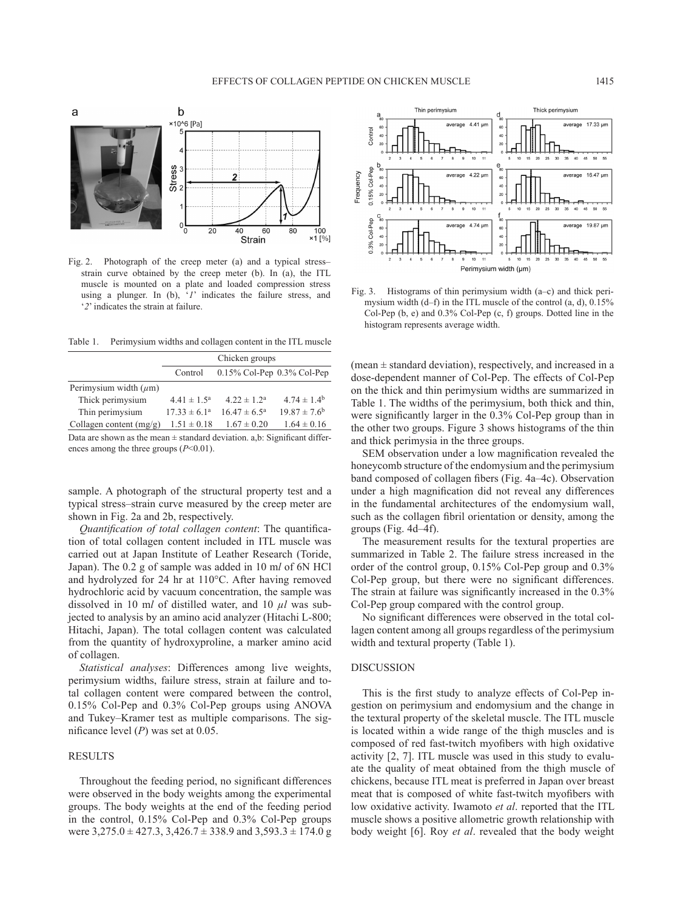

Fig. 2. Photograph of the creep meter (a) and a typical stress– strain curve obtained by the creep meter (b). In (a), the ITL muscle is mounted on a plate and loaded compression stress using a plunger. In (b), '*1*' indicates the failure stress, and '*2*' indicates the strain at failure.

Table 1. Perimysium widths and collagen content in the ITL muscle

|                                                                               | Chicken groups          |                                  |                   |  |
|-------------------------------------------------------------------------------|-------------------------|----------------------------------|-------------------|--|
|                                                                               | Control                 | $0.15\%$ Col-Pep $0.3\%$ Col-Pep |                   |  |
| Perimysium width $(\mu m)$                                                    |                         |                                  |                   |  |
| Thick perimysium                                                              | $4.41 \pm 1.5^{\circ}$  | $4.22 \pm 1.2^a$                 | $4.74 \pm 1.4^b$  |  |
| Thin perimysium                                                               | $17.33 \pm 6.1^{\circ}$ | $16.47 \pm 6.5^{\circ}$          | $19.87 \pm 7.6^b$ |  |
| Collagen content $(mg/g)$                                                     | $1.51 \pm 0.18$         | $1.67 \pm 0.20$                  | $1.64 \pm 0.16$   |  |
| Data are shown as the mean $\pm$ standard deviation. a,b: Significant differ- |                         |                                  |                   |  |

ences among the three groups (*P*<0.01).

sample. A photograph of the structural property test and a typical stress–strain curve measured by the creep meter are shown in Fig. 2a and 2b, respectively.

*Quantification of total collagen content*: The quantification of total collagen content included in ITL muscle was carried out at Japan Institute of Leather Research (Toride, Japan). The 0.2 g of sample was added in 10 m*l* of 6N HCl and hydrolyzed for 24 hr at 110°C. After having removed hydrochloric acid by vacuum concentration, the sample was dissolved in 10 m*l* of distilled water, and 10 *µl* was subjected to analysis by an amino acid analyzer (Hitachi L-800; Hitachi, Japan). The total collagen content was calculated from the quantity of hydroxyproline, a marker amino acid of collagen.

*Statistical analyses*: Differences among live weights, perimysium widths, failure stress, strain at failure and total collagen content were compared between the control, 0.15% Col-Pep and 0.3% Col-Pep groups using ANOVA and Tukey–Kramer test as multiple comparisons. The significance level (*P*) was set at 0.05.

## RESULTS

Throughout the feeding period, no significant differences were observed in the body weights among the experimental groups. The body weights at the end of the feeding period in the control, 0.15% Col-Pep and 0.3% Col-Pep groups were  $3,275.0 \pm 427.3$ ,  $3,426.7 \pm 338.9$  and  $3,593.3 \pm 174.0$  g



Fig. 3. Histograms of thin perimysium width (a–c) and thick perimysium width (d–f) in the ITL muscle of the control (a, d), 0.15% Col-Pep (b, e) and 0.3% Col-Pep (c, f) groups. Dotted line in the histogram represents average width.

(mean  $\pm$  standard deviation), respectively, and increased in a dose-dependent manner of Col-Pep. The effects of Col-Pep on the thick and thin perimysium widths are summarized in Table 1. The widths of the perimysium, both thick and thin, were significantly larger in the 0.3% Col-Pep group than in the other two groups. Figure 3 shows histograms of the thin and thick perimysia in the three groups.

SEM observation under a low magnification revealed the honeycomb structure of the endomysium and the perimysium band composed of collagen fibers (Fig. 4a–4c). Observation under a high magnification did not reveal any differences in the fundamental architectures of the endomysium wall, such as the collagen fibril orientation or density, among the groups (Fig. 4d–4f).

The measurement results for the textural properties are summarized in Table 2. The failure stress increased in the order of the control group, 0.15% Col-Pep group and 0.3% Col-Pep group, but there were no significant differences. The strain at failure was significantly increased in the 0.3% Col-Pep group compared with the control group.

No significant differences were observed in the total collagen content among all groups regardless of the perimysium width and textural property (Table 1).

## DISCUSSION

This is the first study to analyze effects of Col-Pep ingestion on perimysium and endomysium and the change in the textural property of the skeletal muscle. The ITL muscle is located within a wide range of the thigh muscles and is composed of red fast-twitch myofibers with high oxidative activity [[2, 7\]](#page-4-4). ITL muscle was used in this study to evaluate the quality of meat obtained from the thigh muscle of chickens, because ITL meat is preferred in Japan over breast meat that is composed of white fast-twitch myofibers with low oxidative activity. Iwamoto *et al*. reported that the ITL muscle shows a positive allometric growth relationship with body weight [\[6](#page-4-9)]. Roy *et al*. revealed that the body weight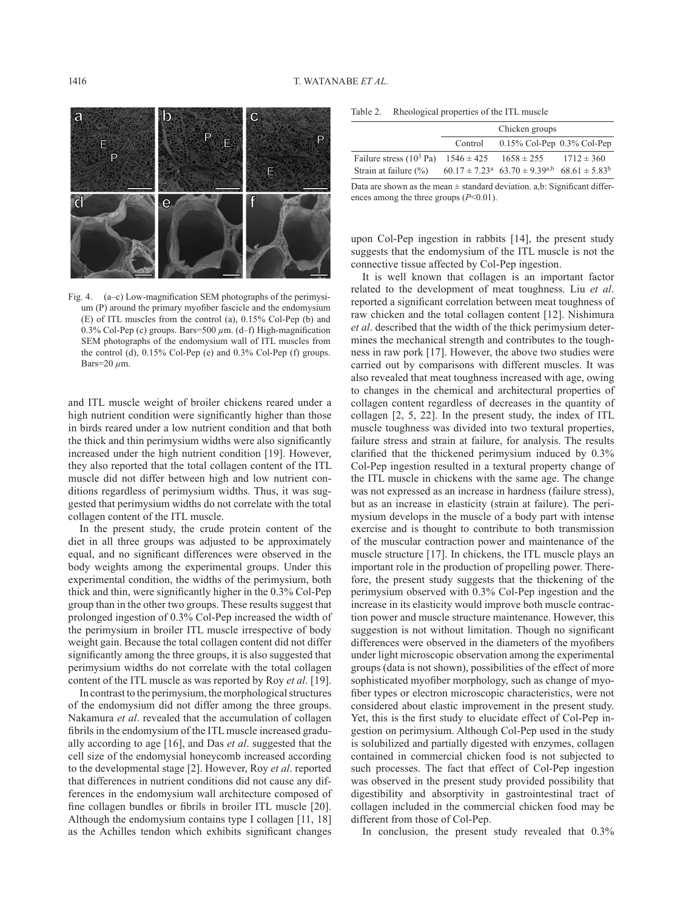

Fig. 4. (a–c) Low-magnification SEM photographs of the perimysium (P) around the primary myofiber fascicle and the endomysium (E) of ITL muscles from the control (a), 0.15% Col-Pep (b) and 0.3% Col-Pep (c) groups. Bars=500 *µ*m. (d–f) High-magnification SEM photographs of the endomysium wall of ITL muscles from the control (d), 0.15% Col-Pep (e) and 0.3% Col-Pep (f) groups. Bars=20 *µ*m.

and ITL muscle weight of broiler chickens reared under a high nutrient condition were significantly higher than those in birds reared under a low nutrient condition and that both the thick and thin perimysium widths were also significantly increased under the high nutrient condition [[19](#page-4-0)]. However, they also reported that the total collagen content of the ITL muscle did not differ between high and low nutrient conditions regardless of perimysium widths. Thus, it was suggested that perimysium widths do not correlate with the total collagen content of the ITL muscle.

In the present study, the crude protein content of the diet in all three groups was adjusted to be approximately equal, and no significant differences were observed in the body weights among the experimental groups. Under this experimental condition, the widths of the perimysium, both thick and thin, were significantly higher in the 0.3% Col-Pep group than in the other two groups. These results suggest that prolonged ingestion of 0.3% Col-Pep increased the width of the perimysium in broiler ITL muscle irrespective of body weight gain. Because the total collagen content did not differ significantly among the three groups, it is also suggested that perimysium widths do not correlate with the total collagen content of the ITL muscle as was reported by Roy *et al*. [\[19\]](#page-4-0).

In contrast to the perimysium, the morphological structures of the endomysium did not differ among the three groups. Nakamura *et al*. revealed that the accumulation of collagen fibrils in the endomysium of the ITL muscle increased gradually according to age [\[16\]](#page-4-10), and Das *et al*. suggested that the cell size of the endomysial honeycomb increased according to the developmental stage [\[2](#page-4-4)]. However, Roy *et al*. reported that differences in nutrient conditions did not cause any differences in the endomysium wall architecture composed of fine collagen bundles or fibrils in broiler ITL muscle [\[20\]](#page-4-11). Although the endomysium contains type I collagen [\[11, 18](#page-4-12)] as the Achilles tendon which exhibits significant changes

Table 2. Rheological properties of the ITL muscle

|                                                                   | Chicken groups |                                                                                             |                |
|-------------------------------------------------------------------|----------------|---------------------------------------------------------------------------------------------|----------------|
|                                                                   | Control        | $0.15\%$ Col-Pep $0.3\%$ Col-Pep                                                            |                |
| Failure stress (10 <sup>3</sup> Pa) $1546 \pm 425$ $1658 \pm 255$ |                |                                                                                             | $1712 \pm 360$ |
| Strain at failure $(\% )$                                         |                | $60.17 \pm 7.23$ <sup>a</sup> $63.70 \pm 9.39$ <sup>a,b</sup> $68.61 \pm 5.83$ <sup>b</sup> |                |

Data are shown as the mean  $\pm$  standard deviation. a,b: Significant differences among the three groups (*P*<0.01).

upon Col-Pep ingestion in rabbits [\[14](#page-4-5)], the present study suggests that the endomysium of the ITL muscle is not the connective tissue affected by Col-Pep ingestion.

It is well known that collagen is an important factor related to the development of meat toughness. Liu *et al*. reported a significant correlation between meat toughness of raw chicken and the total collagen content [\[12\]](#page-4-13). Nishimura *et al*. described that the width of the thick perimysium determines the mechanical strength and contributes to the toughness in raw pork [[17](#page-4-14)]. However, the above two studies were carried out by comparisons with different muscles. It was also revealed that meat toughness increased with age, owing to changes in the chemical and architectural properties of collagen content regardless of decreases in the quantity of collagen [\[2, 5, 22](#page-4-4)]. In the present study, the index of ITL muscle toughness was divided into two textural properties, failure stress and strain at failure, for analysis. The results clarified that the thickened perimysium induced by 0.3% Col-Pep ingestion resulted in a textural property change of the ITL muscle in chickens with the same age. The change was not expressed as an increase in hardness (failure stress), but as an increase in elasticity (strain at failure). The perimysium develops in the muscle of a body part with intense exercise and is thought to contribute to both transmission of the muscular contraction power and maintenance of the muscle structure [\[17\]](#page-4-14). In chickens, the ITL muscle plays an important role in the production of propelling power. Therefore, the present study suggests that the thickening of the perimysium observed with 0.3% Col-Pep ingestion and the increase in its elasticity would improve both muscle contraction power and muscle structure maintenance. However, this suggestion is not without limitation. Though no significant differences were observed in the diameters of the myofibers under light microscopic observation among the experimental groups (data is not shown), possibilities of the effect of more sophisticated myofiber morphology, such as change of myofiber types or electron microscopic characteristics, were not considered about elastic improvement in the present study. Yet, this is the first study to elucidate effect of Col-Pep ingestion on perimysium. Although Col-Pep used in the study is solubilized and partially digested with enzymes, collagen contained in commercial chicken food is not subjected to such processes. The fact that effect of Col-Pep ingestion was observed in the present study provided possibility that digestibility and absorptivity in gastrointestinal tract of collagen included in the commercial chicken food may be different from those of Col-Pep.

In conclusion, the present study revealed that 0.3%